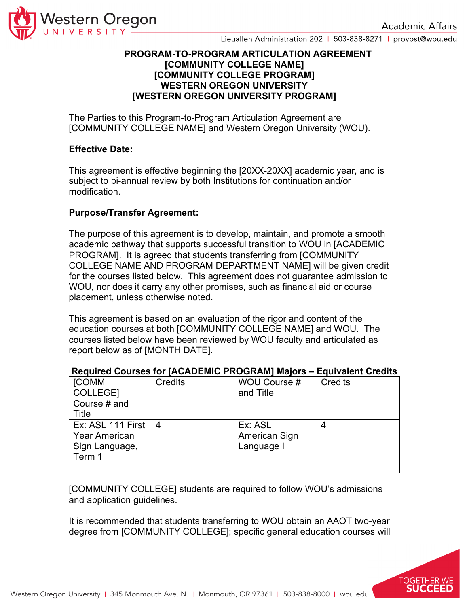

Lieuallen Administration 202 | 503-838-8271 | provost@wou.edu

### **PROGRAM-TO-PROGRAM ARTICULATION AGREEMENT [COMMUNITY COLLEGE NAME] [COMMUNITY COLLEGE PROGRAM] WESTERN OREGON UNIVERSITY [WESTERN OREGON UNIVERSITY PROGRAM]**

The Parties to this Program-to-Program Articulation Agreement are [COMMUNITY COLLEGE NAME] and Western Oregon University (WOU).

### **Effective Date:**

This agreement is effective beginning the [20XX-20XX] academic year, and is subject to bi-annual review by both Institutions for continuation and/or modification.

# **Purpose/Transfer Agreement:**

The purpose of this agreement is to develop, maintain, and promote a smooth academic pathway that supports successful transition to WOU in [ACADEMIC PROGRAM]. It is agreed that students transferring from [COMMUNITY COLLEGE NAME AND PROGRAM DEPARTMENT NAME] will be given credit for the courses listed below. This agreement does not guarantee admission to WOU, nor does it carry any other promises, such as financial aid or course placement, unless otherwise noted.

This agreement is based on an evaluation of the rigor and content of the education courses at both [COMMUNITY COLLEGE NAME] and WOU. The courses listed below have been reviewed by WOU faculty and articulated as report below as of [MONTH DATE].

| <b>[COMM</b><br>COLLEGE]<br>Course # and<br>Title                     | Credits | WOU Course #<br>and Title              | Credits |
|-----------------------------------------------------------------------|---------|----------------------------------------|---------|
| Ex: ASL 111 First<br><b>Year American</b><br>Sign Language,<br>Term 1 | 4       | Ex: ASL<br>American Sign<br>Language I |         |
|                                                                       |         |                                        |         |

### **Required Courses for [ACADEMIC PROGRAM] Majors – Equivalent Credits**

[COMMUNITY COLLEGE] students are required to follow WOU's admissions and application guidelines.

It is recommended that students transferring to WOU obtain an AAOT two-year degree from [COMMUNITY COLLEGE]; specific general education courses will

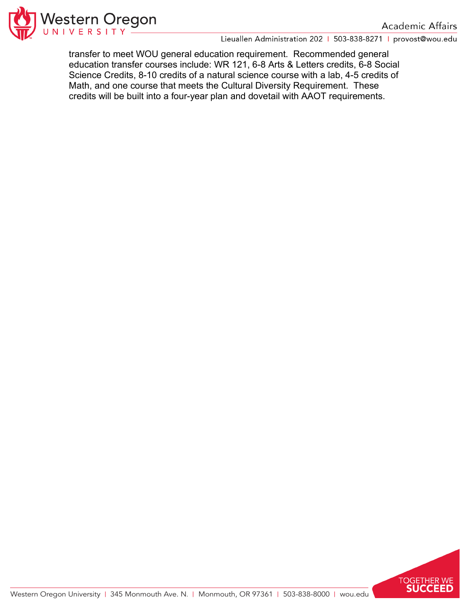

Lieuallen Administration 202 | 503-838-8271 | provost@wou.edu

transfer to meet WOU general education requirement. Recommended general education transfer courses include: WR 121, 6-8 Arts & Letters credits, 6-8 Social Science Credits, 8-10 credits of a natural science course with a lab, 4-5 credits of Math, and one course that meets the Cultural Diversity Requirement. These credits will be built into a four-year plan and dovetail with AAOT requirements.

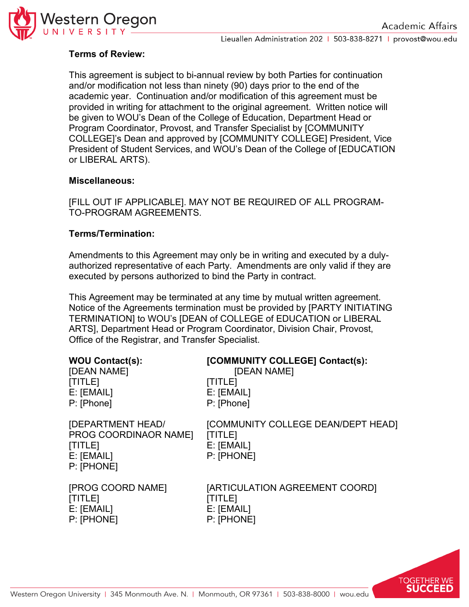

# **Terms of Review:**

This agreement is subject to bi-annual review by both Parties for continuation and/or modification not less than ninety (90) days prior to the end of the academic year. Continuation and/or modification of this agreement must be provided in writing for attachment to the original agreement. Written notice will be given to WOU's Dean of the College of Education, Department Head or Program Coordinator, Provost, and Transfer Specialist by [COMMUNITY COLLEGE]'s Dean and approved by [COMMUNITY COLLEGE] President, Vice President of Student Services, and WOU's Dean of the College of [EDUCATION or LIBERAL ARTS).

## **Miscellaneous:**

[FILL OUT IF APPLICABLE]. MAY NOT BE REQUIRED OF ALL PROGRAM-TO-PROGRAM AGREEMENTS.

# **Terms/Termination:**

Amendments to this Agreement may only be in writing and executed by a dulyauthorized representative of each Party. Amendments are only valid if they are executed by persons authorized to bind the Party in contract.

This Agreement may be terminated at any time by mutual written agreement. Notice of the Agreements termination must be provided by [PARTY INITIATING TERMINATION] to WOU's [DEAN of COLLEGE of EDUCATION or LIBERAL ARTS], Department Head or Program Coordinator, Division Chair, Provost, Office of the Registrar, and Transfer Specialist.

| <b>WOU Contact(s):</b>                                                            | [COMMUNITY COLLEGE] Contact(s):                                           |
|-----------------------------------------------------------------------------------|---------------------------------------------------------------------------|
| [DEAN NAME]                                                                       | [DEAN NAME]                                                               |
| [TITLE]                                                                           | <b>[TITLE]</b>                                                            |
| E: [EMAIL]                                                                        | E: [EMAIL]                                                                |
| P: [Phone]                                                                        | P: [Phone]                                                                |
| [DEPARTMENT HEAD/<br>PROG COORDINAOR NAME]<br>[TITLE]<br>E: [EMAIL]<br>P: [PHONE] | [COMMUNITY COLLEGE DEAN/DEPT HEAD]<br>[TITLE]<br>E: [EMAIL]<br>P: [PHONE] |
| [PROG COORD NAME]                                                                 | [ARTICULATION AGREEMENT COORD]                                            |
| [TITLE]                                                                           | [TITLE]                                                                   |
| E: [EMAIL]                                                                        | E: [EMAIL]                                                                |
| P: [PHONE]                                                                        | P: [PHONE]                                                                |